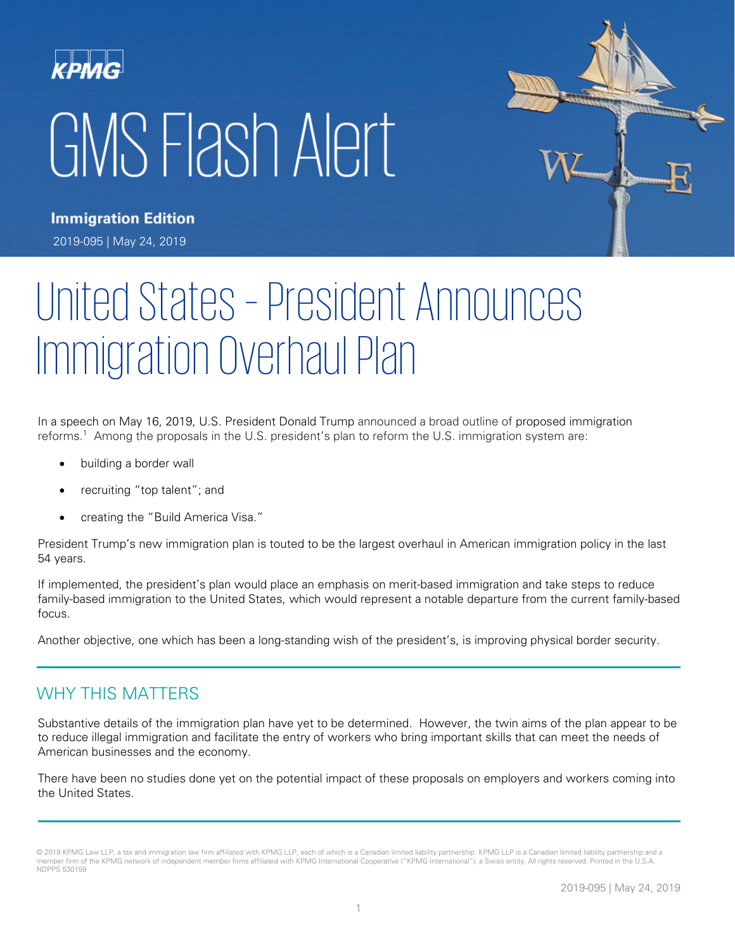# GMS Flash Alert



**Immigration Edition** 2019-095 | May 24, 2019

# United States – President Announces Immigration Overhaul Plan

In a speech on May 16, 2019, U.S. President Donald Trump announced a broad outline of proposed immigration reforms.1 Among the proposals in the U.S. president's plan to reform the U.S. immigration system are:

- building a border wall
- recruiting "top talent"; and
- creating the "Build America Visa."

President Trump's new immigration plan is touted to be the largest overhaul in American immigration policy in the last 54 years.

If implemented, the president's plan would place an emphasis on merit-based immigration and take steps to reduce family-based immigration to the United States, which would represent a notable departure from the current family-based focus.

Another objective, one which has been a long-standing wish of the president's, is improving physical border security.

#### WHY THIS MATTERS

Substantive details of the immigration plan have yet to be determined. However, the twin aims of the plan appear to be to reduce illegal immigration and facilitate the entry of workers who bring important skills that can meet the needs of American businesses and the economy.

There have been no studies done yet on the potential impact of these proposals on employers and workers coming into the United States.

<sup>© 2019</sup> KPMG Law LLP, a tax and immigration law firm affiliated with KPMG LLP, each of which is a Canadian limited liability partnership. KPMG LLP is a Canadian limited liability partnership and a member firm of the KPMG network of independent member firms affiliated with KPMG International Cooperative ("KPMG International"), a Swiss entity. All rights reserved. Printed in the U.S.A. NDPPS 530159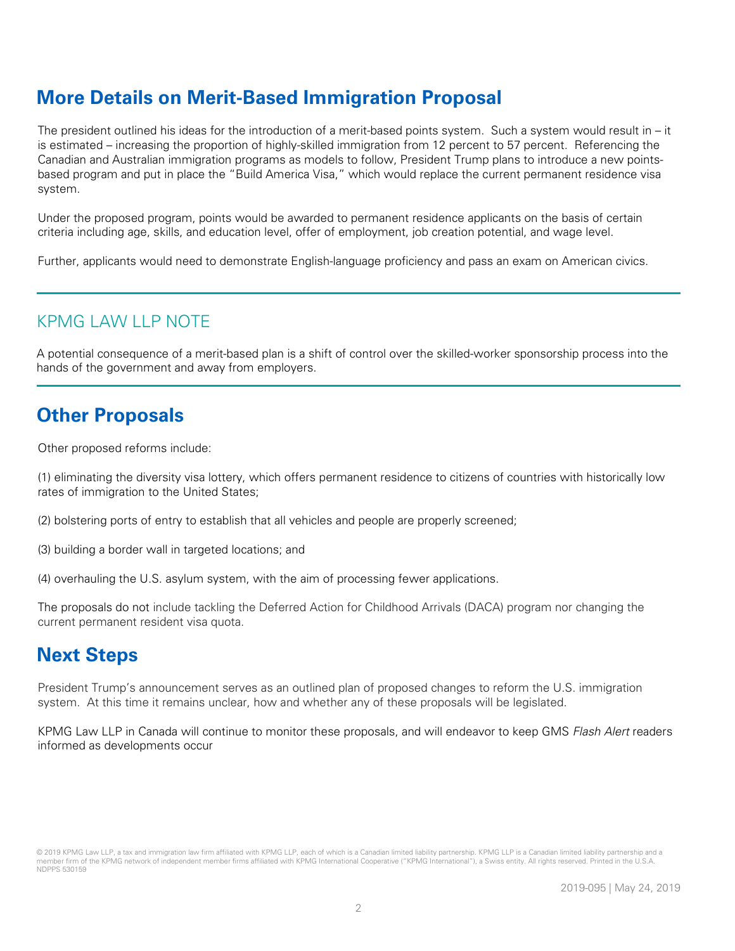# **More Details on Merit-Based Immigration Proposal**

The president outlined his ideas for the introduction of a merit-based points system. Such a system would result in – it is estimated – increasing the proportion of highly-skilled immigration from 12 percent to 57 percent. Referencing the Canadian and Australian immigration programs as models to follow, President Trump plans to introduce a new pointsbased program and put in place the "Build America Visa," which would replace the current permanent residence visa system.

Under the proposed program, points would be awarded to permanent residence applicants on the basis of certain criteria including age, skills, and education level, offer of employment, job creation potential, and wage level.

Further, applicants would need to demonstrate English-language proficiency and pass an exam on American civics.

### KPMG LAW LLP NOTE

A potential consequence of a merit-based plan is a shift of control over the skilled-worker sponsorship process into the hands of the government and away from employers.

# **Other Proposals**

Other proposed reforms include:

(1) eliminating the diversity visa lottery, which offers permanent residence to citizens of countries with historically low rates of immigration to the United States;

(2) bolstering ports of entry to establish that all vehicles and people are properly screened;

(3) building a border wall in targeted locations; and

(4) overhauling the U.S. asylum system, with the aim of processing fewer applications.

The proposals do not include tackling the Deferred Action for Childhood Arrivals (DACA) program nor changing the current permanent resident visa quota.

# **Next Steps**

President Trump's announcement serves as an outlined plan of proposed changes to reform the U.S. immigration system. At this time it remains unclear, how and whether any of these proposals will be legislated.

KPMG Law LLP in Canada will continue to monitor these proposals, and will endeavor to keep GMS Flash Alert readers informed as developments occur

<sup>© 2019</sup> KPMG Law LLP, a tax and immigration law firm affiliated with KPMG LLP, each of which is a Canadian limited liability partnership. KPMG LLP is a Canadian limited liability partnership and a member firm of the KPMG network of independent member firms affiliated with KPMG International Cooperative ("KPMG International"), a Swiss entity. All rights reserved. Printed in the U.S.A. NDPPS 530159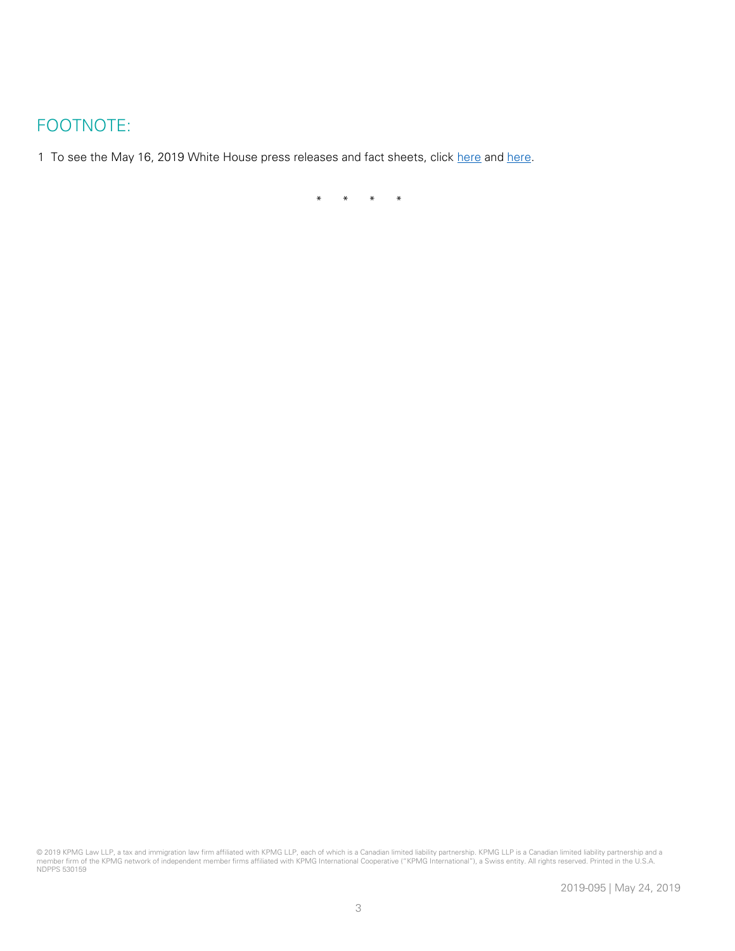#### FOOTNOTE:

1 To see the May 16, 2019 White House press releases and fact sheets, click [here](https://www.whitehouse.gov/briefings-statements/president-donald-j-trump-wants-to-fully-secure-our-border-and-reform-our-immigration-system-to-put-america-first/) and [here.](https://www.whitehouse.gov/briefings-statements/remarks-president-trump-modernizing-immigration-system-stronger-america/)

\* \* \* \*

<sup>© 2019</sup> KPMG Law LLP, a tax and immigration law firm affiliated with KPMG LLP, each of which is a Canadian limited liablity partnership. KPMG LLP is a Canadian limited liability partnership and a<br>member firm of the KPMG net